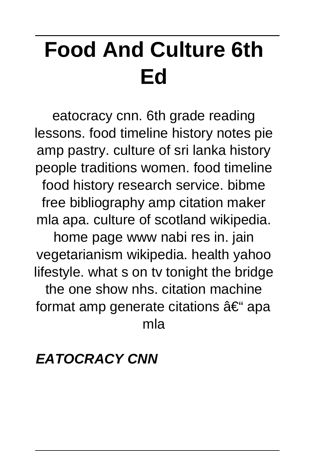# **Food And Culture 6th Ed**

eatocracy cnn. 6th grade reading lessons. food timeline history notes pie amp pastry. culture of sri lanka history people traditions women. food timeline food history research service. bibme free bibliography amp citation maker mla apa. culture of scotland wikipedia. home page www nabi res in. jain vegetarianism wikipedia. health yahoo lifestyle. what s on tv tonight the bridge the one show nhs. citation machine format amp generate citations  $\hat{a} \in \hat{\mathcal{F}}$  apa mla

### **EATOCRACY CNN**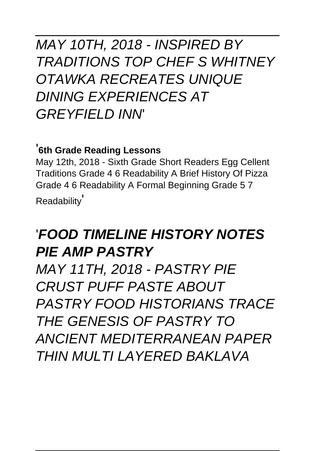### MAY 10TH, 2018 - INSPIRED BY TRADITIONS TOP CHEF S WHITNEY OTAWKA RECREATES UNIQUE DINING EXPERIENCES AT GREYFIELD INN'

#### '**6th Grade Reading Lessons**

May 12th, 2018 - Sixth Grade Short Readers Egg Cellent Traditions Grade 4 6 Readability A Brief History Of Pizza Grade 4 6 Readability A Formal Beginning Grade 5 7 Readability'

### '**FOOD TIMELINE HISTORY NOTES PIE AMP PASTRY**

MAY 11TH, 2018 - PASTRY PIE CRUST PUFF PASTE ABOUT PASTRY FOOD HISTORIANS TRACE THE GENESIS OF PASTRY TO ANCIENT MEDITERRANEAN PAPER THIN MULTI LAYFRED BAKLAVA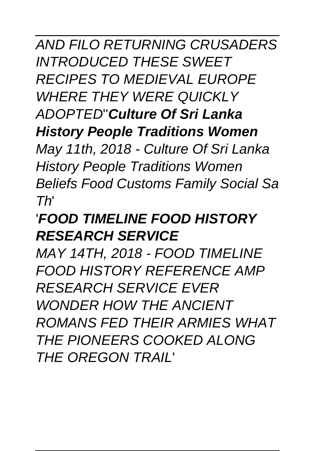AND FILO RETURNING CRUSADERS INTRODUCED THESE SWEET RECIPES TO MEDIEVAL EUROPE WHERE THEY WERE QUICKLY ADOPTED''**Culture Of Sri Lanka History People Traditions Women** May 11th, 2018 - Culture Of Sri Lanka History People Traditions Women Beliefs Food Customs Family Social Sa

Th'

## '**FOOD TIMELINE FOOD HISTORY RESEARCH SERVICE**

MAY 14TH, 2018 - FOOD TIMELINE FOOD HISTORY REFERENCE AMP RESEARCH SERVICE EVER WONDER HOW THE ANCIENT ROMANS FED THEIR ARMIES WHAT THE PIONEERS COOKED ALONG THE OREGON TRAIL'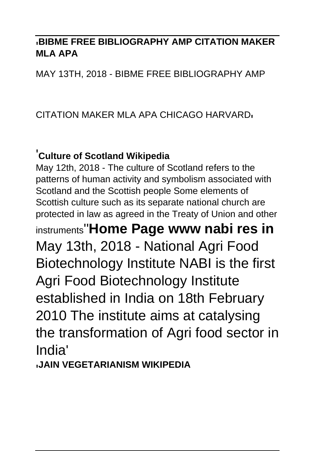#### '**BIBME FREE BIBLIOGRAPHY AMP CITATION MAKER MLA APA**

MAY 13TH, 2018 - BIBME FREE BIBLIOGRAPHY AMP

#### CITATION MAKER MLA APA CHICAGO HARVARD'

#### '**Culture of Scotland Wikipedia**

May 12th, 2018 - The culture of Scotland refers to the patterns of human activity and symbolism associated with Scotland and the Scottish people Some elements of Scottish culture such as its separate national church are protected in law as agreed in the Treaty of Union and other instruments''**Home Page www nabi res in** May 13th, 2018 - National Agri Food Biotechnology Institute NABI is the first Agri Food Biotechnology Institute established in India on 18th February 2010 The institute aims at catalysing the transformation of Agri food sector in India'

'**JAIN VEGETARIANISM WIKIPEDIA**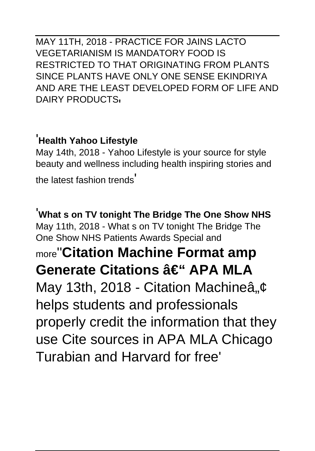MAY 11TH, 2018 - PRACTICE FOR JAINS LACTO VEGETARIANISM IS MANDATORY FOOD IS RESTRICTED TO THAT ORIGINATING FROM PLANTS SINCE PLANTS HAVE ONLY ONE SENSE EKINDRIYA AND ARE THE LEAST DEVELOPED FORM OF LIFE AND DAIRY PRODUCTS.

#### '**Health Yahoo Lifestyle**

May 14th, 2018 - Yahoo Lifestyle is your source for style beauty and wellness including health inspiring stories and the latest fashion trends'

'**What s on TV tonight The Bridge The One Show NHS** May 11th, 2018 - What s on TV tonight The Bridge The One Show NHS Patients Awards Special and more''**Citation Machine Format amp Generate Citations – APA MLA** May 13th, 2018 - Citation Machineâ, $\phi$ helps students and professionals properly credit the information that they use Cite sources in APA MLA Chicago Turabian and Harvard for free'